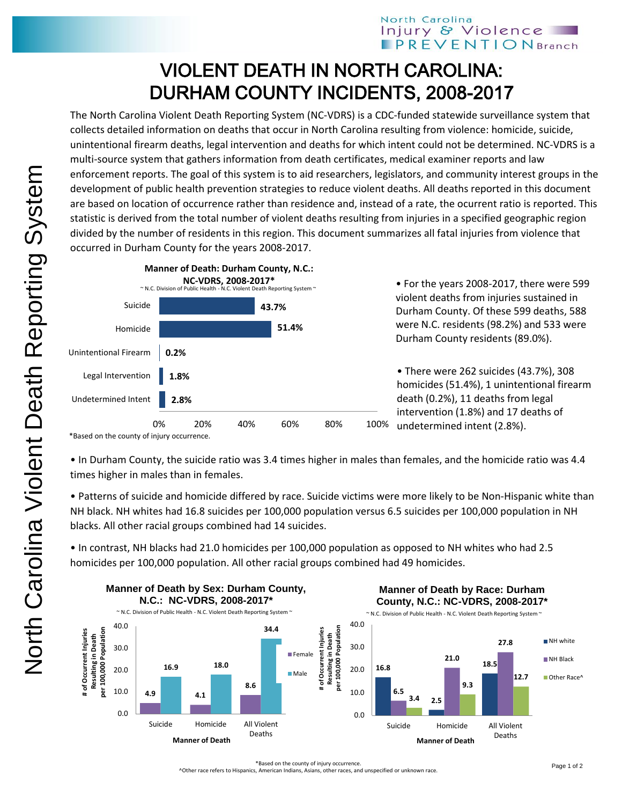## VIOLENT DEATH IN NORTH CAROLINA: DURHAM COUNTY INCIDENTS, 2008-2017

The North Carolina Violent Death Reporting System (NC-VDRS) is a CDC-funded statewide surveillance system that collects detailed information on deaths that occur in North Carolina resulting from violence: homicide, suicide, unintentional firearm deaths, legal intervention and deaths for which intent could not be determined. NC-VDRS is a multi-source system that gathers information from death certificates, medical examiner reports and law enforcement reports. The goal of this system is to aid researchers, legislators, and community interest groups in the development of public health prevention strategies to reduce violent deaths. All deaths reported in this document are based on location of occurrence rather than residence and, instead of a rate, the ocurrent ratio is reported. This statistic is derived from the total number of violent deaths resulting from injuries in a specified geographic region divided by the number of residents in this region. This document summarizes all fatal injuries from violence that occurred in Durham County for the years 2008-2017.



• For the years 2008-2017, there were 599 violent deaths from injuries sustained in Durham County. Of these 599 deaths, 588 were N.C. residents (98.2%) and 533 were Durham County residents (89.0%).

• There were 262 suicides (43.7%), 308 homicides (51.4%), 1 unintentional firearm death (0.2%), 11 deaths from legal intervention (1.8%) and 17 deaths of undetermined intent (2.8%).

• In Durham County, the suicide ratio was 3.4 times higher in males than females, and the homicide ratio was 4.4 times higher in males than in females.

• Patterns of suicide and homicide differed by race. Suicide victims were more likely to be Non-Hispanic white than NH black. NH whites had 16.8 suicides per 100,000 population versus 6.5 suicides per 100,000 population in NH blacks. All other racial groups combined had 14 suicides.

• In contrast, NH blacks had 21.0 homicides per 100,000 population as opposed to NH whites who had 2.5 homicides per 100,000 population. All other racial groups combined had 49 homicides.



^Other race refers to Hispanics, American Indians, Asians, other races, and unspecified or unknown race.

<sup>\*</sup>Based on the county of injury occurrence.